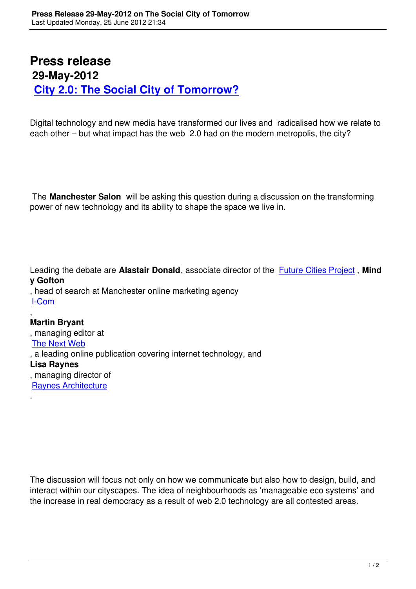## **Press release 29-May-2012 City 2.0: The Social City of Tomorrow?**

[Digital technology and new media have transformed our](lure-of-the-social-city.html) lives and radicalised how we relate to each other – but what impact has the web 2.0 had on the modern metropolis, the city?

 The **Manchester Salon** will be asking this question during a discussion on the transforming power of new technology and its ability to shape the space we live in.

Leading the debate are **Alastair Donald**, associate director of the Future Cities Project , **Mind y Gofton**

, head of search at Manchester online marketing agency I-Com

,

**Martin Bryant** [, mana](http://www.i-com.net/)ging editor at The Next Web , a leading online publication covering internet technology, and **Lisa Raynes** [, managing dire](http://thenextweb.com/)ctor of Raynes Architecture .

The discussion will focus not only on how we communicate but also how to design, build, and interact within our cityscapes. The idea of neighbourhoods as 'manageable eco systems' and the increase in real democracy as a result of web 2.0 technology are all contested areas.